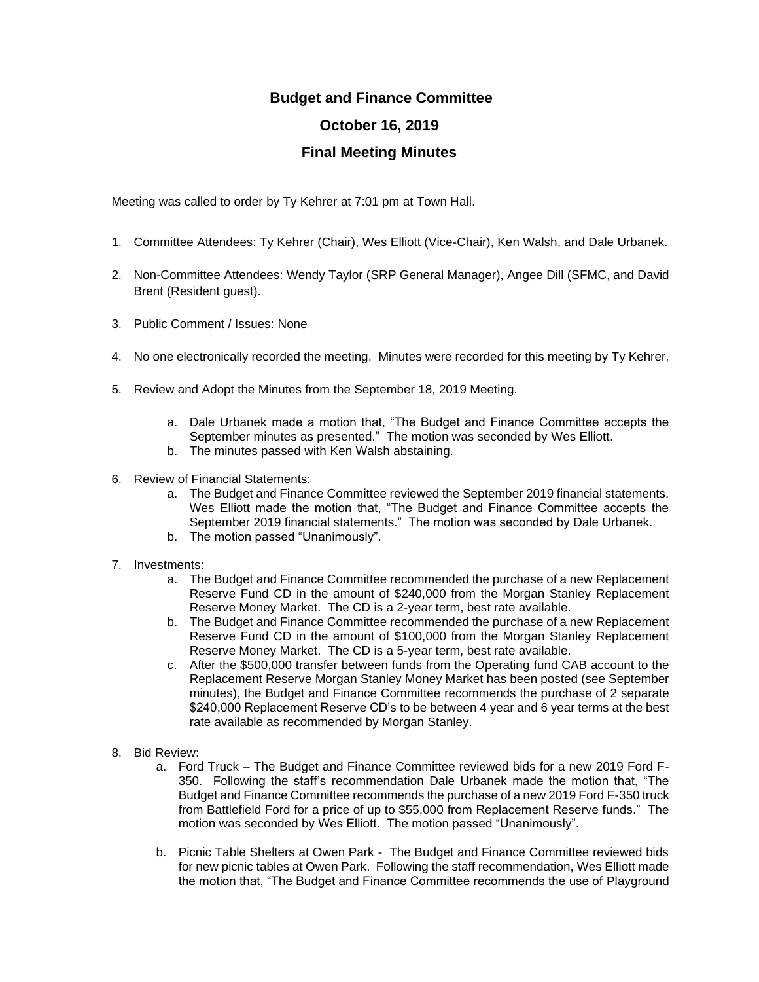## **Budget and Finance Committee October 16, 2019 Final Meeting Minutes**

Meeting was called to order by Ty Kehrer at 7:01 pm at Town Hall.

- 1. Committee Attendees: Ty Kehrer (Chair), Wes Elliott (Vice-Chair), Ken Walsh, and Dale Urbanek.
- 2. Non-Committee Attendees: Wendy Taylor (SRP General Manager), Angee Dill (SFMC, and David Brent (Resident guest).
- 3. Public Comment / Issues: None
- 4. No one electronically recorded the meeting. Minutes were recorded for this meeting by Ty Kehrer.
- 5. Review and Adopt the Minutes from the September 18, 2019 Meeting.
	- a. Dale Urbanek made a motion that, "The Budget and Finance Committee accepts the September minutes as presented." The motion was seconded by Wes Elliott.
	- b. The minutes passed with Ken Walsh abstaining.
- 6. Review of Financial Statements:
	- a. The Budget and Finance Committee reviewed the September 2019 financial statements. Wes Elliott made the motion that, "The Budget and Finance Committee accepts the September 2019 financial statements." The motion was seconded by Dale Urbanek.
	- b. The motion passed "Unanimously".
- 7. Investments:
	- a. The Budget and Finance Committee recommended the purchase of a new Replacement Reserve Fund CD in the amount of \$240,000 from the Morgan Stanley Replacement Reserve Money Market. The CD is a 2-year term, best rate available.
	- b. The Budget and Finance Committee recommended the purchase of a new Replacement Reserve Fund CD in the amount of \$100,000 from the Morgan Stanley Replacement Reserve Money Market. The CD is a 5-year term, best rate available.
	- c. After the \$500,000 transfer between funds from the Operating fund CAB account to the Replacement Reserve Morgan Stanley Money Market has been posted (see September minutes), the Budget and Finance Committee recommends the purchase of 2 separate \$240,000 Replacement Reserve CD's to be between 4 year and 6 year terms at the best rate available as recommended by Morgan Stanley.
- 8. Bid Review:
	- a. Ford Truck The Budget and Finance Committee reviewed bids for a new 2019 Ford F-350. Following the staff's recommendation Dale Urbanek made the motion that, "The Budget and Finance Committee recommends the purchase of a new 2019 Ford F-350 truck from Battlefield Ford for a price of up to \$55,000 from Replacement Reserve funds." The motion was seconded by Wes Elliott. The motion passed "Unanimously".
	- b. Picnic Table Shelters at Owen Park The Budget and Finance Committee reviewed bids for new picnic tables at Owen Park. Following the staff recommendation, Wes Elliott made the motion that, "The Budget and Finance Committee recommends the use of Playground